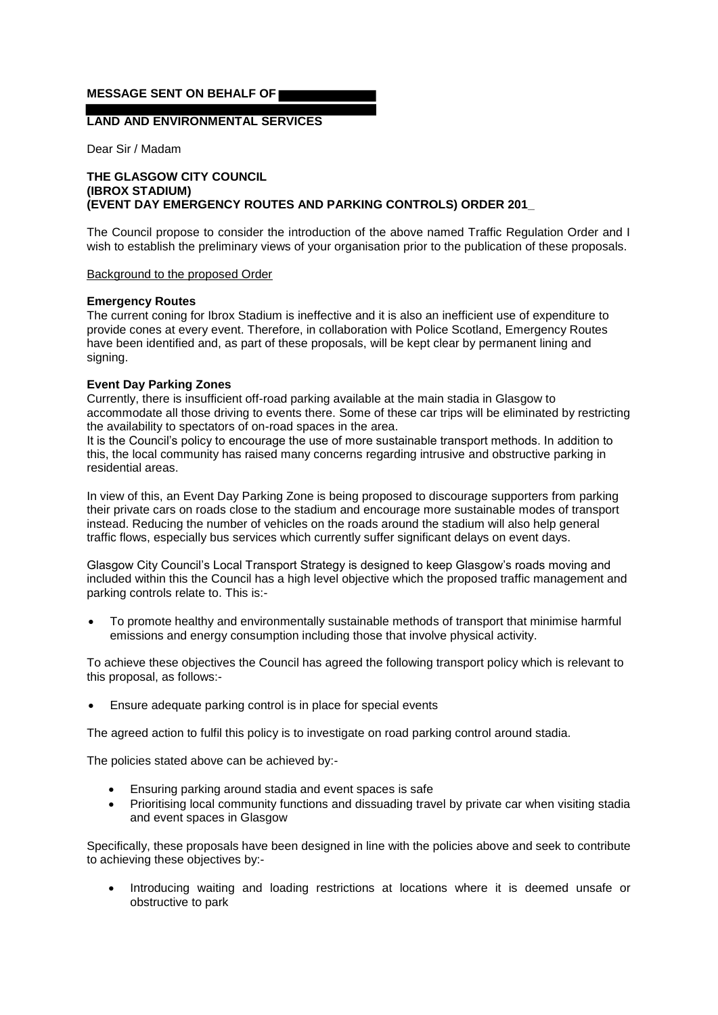## **MESSAGE SENT ON BEHALF OF**

# **LAND AND ENVIRONMENTAL SERVICES**

Dear Sir / Madam

### **THE GLASGOW CITY COUNCIL (IBROX STADIUM) (EVENT DAY EMERGENCY ROUTES AND PARKING CONTROLS) ORDER 201\_**

The Council propose to consider the introduction of the above named Traffic Regulation Order and I wish to establish the preliminary views of your organisation prior to the publication of these proposals.

#### Background to the proposed Order

### **Emergency Routes**

The current coning for Ibrox Stadium is ineffective and it is also an inefficient use of expenditure to provide cones at every event. Therefore, in collaboration with Police Scotland, Emergency Routes have been identified and, as part of these proposals, will be kept clear by permanent lining and signing.

### **Event Day Parking Zones**

Currently, there is insufficient off-road parking available at the main stadia in Glasgow to accommodate all those driving to events there. Some of these car trips will be eliminated by restricting the availability to spectators of on-road spaces in the area.

It is the Council's policy to encourage the use of more sustainable transport methods. In addition to this, the local community has raised many concerns regarding intrusive and obstructive parking in residential areas.

In view of this, an Event Day Parking Zone is being proposed to discourage supporters from parking their private cars on roads close to the stadium and encourage more sustainable modes of transport instead. Reducing the number of vehicles on the roads around the stadium will also help general traffic flows, especially bus services which currently suffer significant delays on event days.

Glasgow City Council's Local Transport Strategy is designed to keep Glasgow's roads moving and included within this the Council has a high level objective which the proposed traffic management and parking controls relate to. This is:-

 To promote healthy and environmentally sustainable methods of transport that minimise harmful emissions and energy consumption including those that involve physical activity.

To achieve these objectives the Council has agreed the following transport policy which is relevant to this proposal, as follows:-

Ensure adequate parking control is in place for special events

The agreed action to fulfil this policy is to investigate on road parking control around stadia.

The policies stated above can be achieved by:-

- Ensuring parking around stadia and event spaces is safe
- Prioritising local community functions and dissuading travel by private car when visiting stadia and event spaces in Glasgow

Specifically, these proposals have been designed in line with the policies above and seek to contribute to achieving these objectives by:-

 Introducing waiting and loading restrictions at locations where it is deemed unsafe or obstructive to park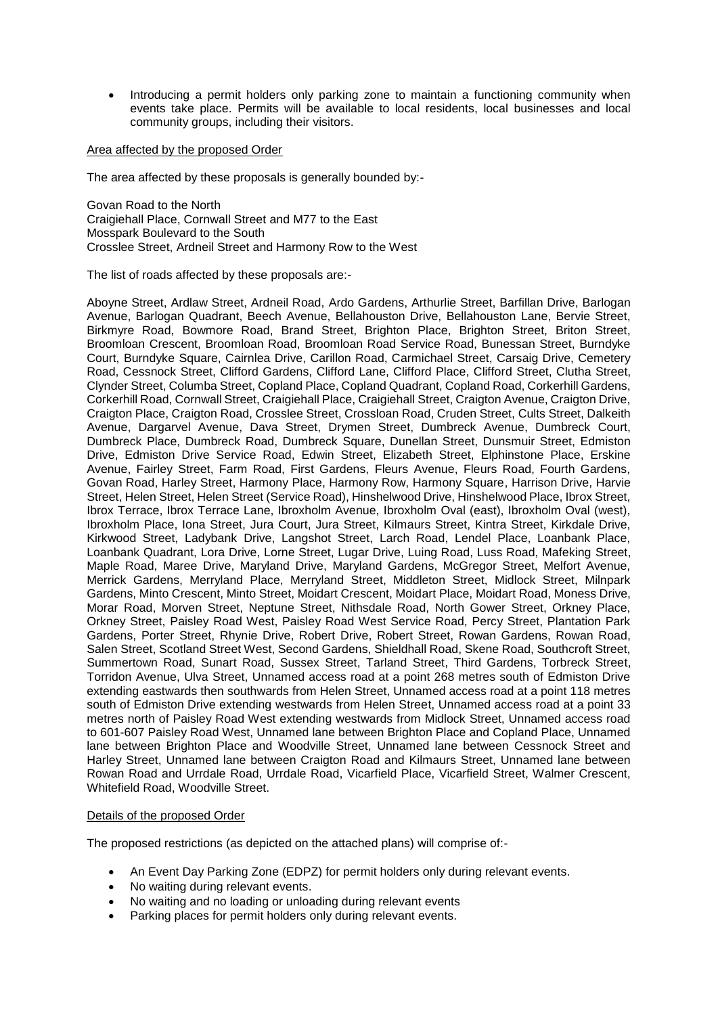• Introducing a permit holders only parking zone to maintain a functioning community when events take place. Permits will be available to local residents, local businesses and local community groups, including their visitors.

Area affected by the proposed Order

The area affected by these proposals is generally bounded by:-

Govan Road to the North Craigiehall Place, Cornwall Street and M77 to the East Mosspark Boulevard to the South Crosslee Street, Ardneil Street and Harmony Row to the West

The list of roads affected by these proposals are:-

Aboyne Street, Ardlaw Street, Ardneil Road, Ardo Gardens, Arthurlie Street, Barfillan Drive, Barlogan Avenue, Barlogan Quadrant, Beech Avenue, Bellahouston Drive, Bellahouston Lane, Bervie Street, Birkmyre Road, Bowmore Road, Brand Street, Brighton Place, Brighton Street, Briton Street, Broomloan Crescent, Broomloan Road, Broomloan Road Service Road, Bunessan Street, Burndyke Court, Burndyke Square, Cairnlea Drive, Carillon Road, Carmichael Street, Carsaig Drive, Cemetery Road, Cessnock Street, Clifford Gardens, Clifford Lane, Clifford Place, Clifford Street, Clutha Street, Clynder Street, Columba Street, Copland Place, Copland Quadrant, Copland Road, Corkerhill Gardens, Corkerhill Road, Cornwall Street, Craigiehall Place, Craigiehall Street, Craigton Avenue, Craigton Drive, Craigton Place, Craigton Road, Crosslee Street, Crossloan Road, Cruden Street, Cults Street, Dalkeith Avenue, Dargarvel Avenue, Dava Street, Drymen Street, Dumbreck Avenue, Dumbreck Court, Dumbreck Place, Dumbreck Road, Dumbreck Square, Dunellan Street, Dunsmuir Street, Edmiston Drive, Edmiston Drive Service Road, Edwin Street, Elizabeth Street, Elphinstone Place, Erskine Avenue, Fairley Street, Farm Road, First Gardens, Fleurs Avenue, Fleurs Road, Fourth Gardens, Govan Road, Harley Street, Harmony Place, Harmony Row, Harmony Square, Harrison Drive, Harvie Street, Helen Street, Helen Street (Service Road), Hinshelwood Drive, Hinshelwood Place, Ibrox Street, Ibrox Terrace, Ibrox Terrace Lane, Ibroxholm Avenue, Ibroxholm Oval (east), Ibroxholm Oval (west), Ibroxholm Place, Iona Street, Jura Court, Jura Street, Kilmaurs Street, Kintra Street, Kirkdale Drive, Kirkwood Street, Ladybank Drive, Langshot Street, Larch Road, Lendel Place, Loanbank Place, Loanbank Quadrant, Lora Drive, Lorne Street, Lugar Drive, Luing Road, Luss Road, Mafeking Street, Maple Road, Maree Drive, Maryland Drive, Maryland Gardens, McGregor Street, Melfort Avenue, Merrick Gardens, Merryland Place, Merryland Street, Middleton Street, Midlock Street, Milnpark Gardens, Minto Crescent, Minto Street, Moidart Crescent, Moidart Place, Moidart Road, Moness Drive, Morar Road, Morven Street, Neptune Street, Nithsdale Road, North Gower Street, Orkney Place, Orkney Street, Paisley Road West, Paisley Road West Service Road, Percy Street, Plantation Park Gardens, Porter Street, Rhynie Drive, Robert Drive, Robert Street, Rowan Gardens, Rowan Road, Salen Street, Scotland Street West, Second Gardens, Shieldhall Road, Skene Road, Southcroft Street, Summertown Road, Sunart Road, Sussex Street, Tarland Street, Third Gardens, Torbreck Street, Torridon Avenue, Ulva Street, Unnamed access road at a point 268 metres south of Edmiston Drive extending eastwards then southwards from Helen Street, Unnamed access road at a point 118 metres south of Edmiston Drive extending westwards from Helen Street, Unnamed access road at a point 33 metres north of Paisley Road West extending westwards from Midlock Street, Unnamed access road to 601-607 Paisley Road West, Unnamed lane between Brighton Place and Copland Place, Unnamed lane between Brighton Place and Woodville Street, Unnamed lane between Cessnock Street and Harley Street, Unnamed lane between Craigton Road and Kilmaurs Street, Unnamed lane between Rowan Road and Urrdale Road, Urrdale Road, Vicarfield Place, Vicarfield Street, Walmer Crescent, Whitefield Road, Woodville Street.

### Details of the proposed Order

The proposed restrictions (as depicted on the attached plans) will comprise of:-

- An Event Day Parking Zone (EDPZ) for permit holders only during relevant events.
- No waiting during relevant events.
- No waiting and no loading or unloading during relevant events
- Parking places for permit holders only during relevant events.